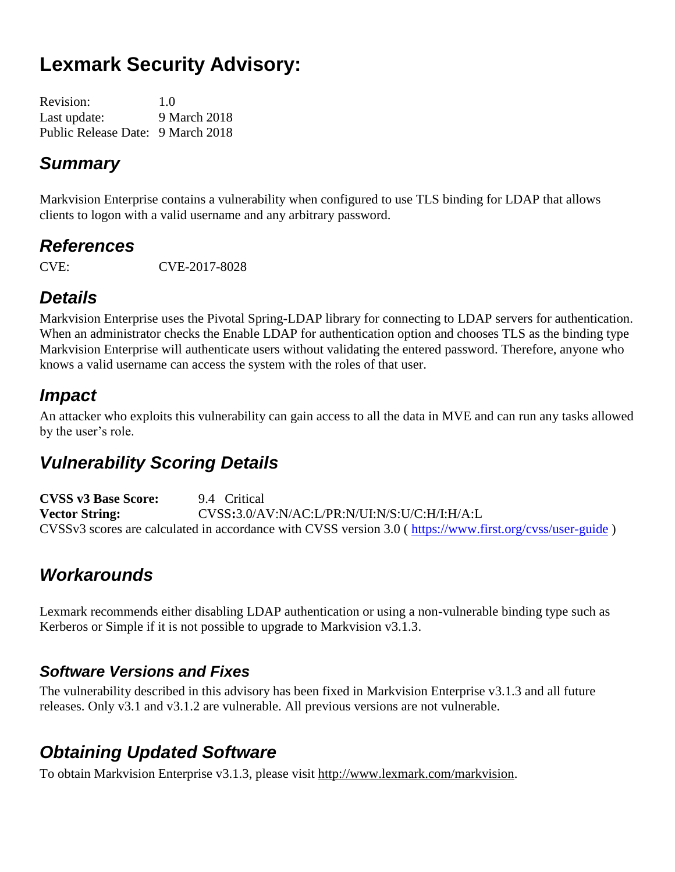# **Lexmark Security Advisory:**

| Revision:                         | 1.0          |
|-----------------------------------|--------------|
| Last update:                      | 9 March 2018 |
| Public Release Date: 9 March 2018 |              |

### *Summary*

Markvision Enterprise contains a vulnerability when configured to use TLS binding for LDAP that allows clients to logon with a valid username and any arbitrary password.

### *References*

CVE: CVE-2017-8028

## *Details*

Markvision Enterprise uses the Pivotal Spring-LDAP library for connecting to LDAP servers for authentication. When an administrator checks the Enable LDAP for authentication option and chooses TLS as the binding type Markvision Enterprise will authenticate users without validating the entered password. Therefore, anyone who knows a valid username can access the system with the roles of that user.

## *Impact*

An attacker who exploits this vulnerability can gain access to all the data in MVE and can run any tasks allowed by the user's role.

## *Vulnerability Scoring Details*

**CVSS v3 Base Score:** 9.4 Critical **Vector String:** CVSS**:**3.0/AV:N/AC:L/PR:N/UI:N/S:U/C:H/I:H/A:L CVSSv3 scores are calculated in accordance with CVSS version 3.0 ( <https://www.first.org/cvss/user-guide> )

## *Workarounds*

Lexmark recommends either disabling LDAP authentication or using a non-vulnerable binding type such as Kerberos or Simple if it is not possible to upgrade to Markvision v3.1.3.

#### *Software Versions and Fixes*

The vulnerability described in this advisory has been fixed in Markvision Enterprise v3.1.3 and all future releases. Only v3.1 and v3.1.2 are vulnerable. All previous versions are not vulnerable.

## *Obtaining Updated Software*

To obtain Markvision Enterprise v3.1.3, please visit http://www.lexmark.com/markvision.